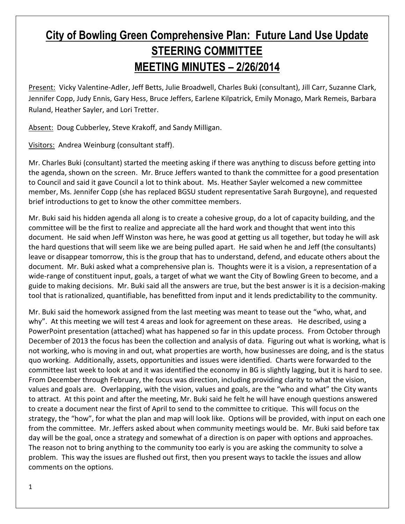## **City of Bowling Green Comprehensive Plan: Future Land Use Update STEERING COMMITTEE MEETING MINUTES – 2/26/2014**

Present: Vicky Valentine-Adler, Jeff Betts, Julie Broadwell, Charles Buki (consultant), Jill Carr, Suzanne Clark, Jennifer Copp, Judy Ennis, Gary Hess, Bruce Jeffers, Earlene Kilpatrick, Emily Monago, Mark Remeis, Barbara Ruland, Heather Sayler, and Lori Tretter.

Absent: Doug Cubberley, Steve Krakoff, and Sandy Milligan.

Visitors: Andrea Weinburg (consultant staff).

Mr. Charles Buki (consultant) started the meeting asking if there was anything to discuss before getting into the agenda, shown on the screen. Mr. Bruce Jeffers wanted to thank the committee for a good presentation to Council and said it gave Council a lot to think about. Ms. Heather Sayler welcomed a new committee member, Ms. Jennifer Copp (she has replaced BGSU student representative Sarah Burgoyne), and requested brief introductions to get to know the other committee members.

Mr. Buki said his hidden agenda all along is to create a cohesive group, do a lot of capacity building, and the committee will be the first to realize and appreciate all the hard work and thought that went into this document. He said when Jeff Winston was here, he was good at getting us all together, but today he will ask the hard questions that will seem like we are being pulled apart. He said when he and Jeff (the consultants) leave or disappear tomorrow, this is the group that has to understand, defend, and educate others about the document. Mr. Buki asked what a comprehensive plan is. Thoughts were it is a vision, a representation of a wide-range of constituent input, goals, a target of what we want the City of Bowling Green to become, and a guide to making decisions. Mr. Buki said all the answers are true, but the best answer is it is a decision-making tool that is rationalized, quantifiable, has benefitted from input and it lends predictability to the community.

Mr. Buki said the homework assigned from the last meeting was meant to tease out the "who, what, and why". At this meeting we will test 4 areas and look for agreement on these areas. He described, using a PowerPoint presentation (attached) what has happened so far in this update process. From October through December of 2013 the focus has been the collection and analysis of data. Figuring out what is working, what is not working, who is moving in and out, what properties are worth, how businesses are doing, and is the status quo working. Additionally, assets, opportunities and issues were identified. Charts were forwarded to the committee last week to look at and it was identified the economy in BG is slightly lagging, but it is hard to see. From December through February, the focus was direction, including providing clarity to what the vision, values and goals are. Overlapping, with the vision, values and goals, are the "who and what" the City wants to attract. At this point and after the meeting, Mr. Buki said he felt he will have enough questions answered to create a document near the first of April to send to the committee to critique. This will focus on the strategy, the "how", for what the plan and map will look like. Options will be provided, with input on each one from the committee. Mr. Jeffers asked about when community meetings would be. Mr. Buki said before tax day will be the goal, once a strategy and somewhat of a direction is on paper with options and approaches. The reason not to bring anything to the community too early is you are asking the community to solve a problem. This way the issues are flushed out first, then you present ways to tackle the issues and allow comments on the options.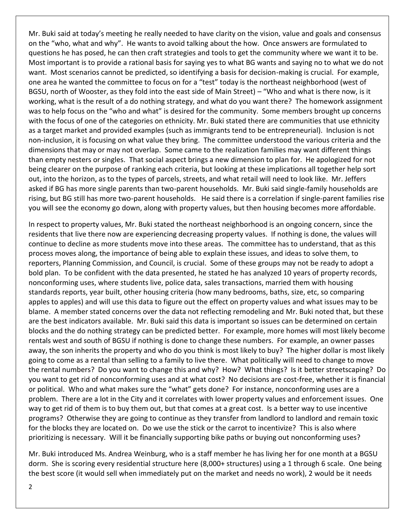Mr. Buki said at today's meeting he really needed to have clarity on the vision, value and goals and consensus on the "who, what and why". He wants to avoid talking about the how. Once answers are formulated to questions he has posed, he can then craft strategies and tools to get the community where we want it to be. Most important is to provide a rational basis for saying yes to what BG wants and saying no to what we do not want. Most scenarios cannot be predicted, so identifying a basis for decision-making is crucial. For example, one area he wanted the committee to focus on for a "test" today is the northeast neighborhood (west of BGSU, north of Wooster, as they fold into the east side of Main Street) – "Who and what is there now, is it working, what is the result of a do nothing strategy, and what do you want there? The homework assignment was to help focus on the "who and what" is desired for the community. Some members brought up concerns with the focus of one of the categories on ethnicity. Mr. Buki stated there are communities that use ethnicity as a target market and provided examples (such as immigrants tend to be entrepreneurial). Inclusion is not non-inclusion, it is focusing on what value they bring. The committee understood the various criteria and the dimensions that may or may not overlap. Some came to the realization families may want different things than empty nesters or singles. That social aspect brings a new dimension to plan for. He apologized for not being clearer on the purpose of ranking each criteria, but looking at these implications all together help sort out, into the horizon, as to the types of parcels, streets, and what retail will need to look like. Mr. Jeffers asked if BG has more single parents than two-parent households. Mr. Buki said single-family households are rising, but BG still has more two-parent households. He said there is a correlation if single-parent families rise you will see the economy go down, along with property values, but then housing becomes more affordable.

In respect to property values, Mr. Buki stated the northeast neighborhood is an ongoing concern, since the residents that live there now are experiencing decreasing property values. If nothing is done, the values will continue to decline as more students move into these areas. The committee has to understand, that as this process moves along, the importance of being able to explain these issues, and ideas to solve them, to reporters, Planning Commission, and Council, is crucial. Some of these groups may not be ready to adopt a bold plan. To be confident with the data presented, he stated he has analyzed 10 years of property records, nonconforming uses, where students live, police data, sales transactions, married them with housing standards reports, year built, other housing criteria (how many bedrooms, baths, size, etc, so comparing apples to apples) and will use this data to figure out the effect on property values and what issues may to be blame. A member stated concerns over the data not reflecting remodeling and Mr. Buki noted that, but these are the best indicators available. Mr. Buki said this data is important so issues can be determined on certain blocks and the do nothing strategy can be predicted better. For example, more homes will most likely become rentals west and south of BGSU if nothing is done to change these numbers. For example, an owner passes away, the son inherits the property and who do you think is most likely to buy? The higher dollar is most likely going to come as a rental than selling to a family to live there. What politically will need to change to move the rental numbers? Do you want to change this and why? How? What things? Is it better streetscaping? Do you want to get rid of nonconforming uses and at what cost? No decisions are cost-free, whether it is financial or political. Who and what makes sure the "what" gets done? For instance, nonconforming uses are a problem. There are a lot in the City and it correlates with lower property values and enforcement issues. One way to get rid of them is to buy them out, but that comes at a great cost. Is a better way to use incentive programs? Otherwise they are going to continue as they transfer from landlord to landlord and remain toxic for the blocks they are located on. Do we use the stick or the carrot to incentivize? This is also where prioritizing is necessary. Will it be financially supporting bike paths or buying out nonconforming uses?

Mr. Buki introduced Ms. Andrea Weinburg, who is a staff member he has living her for one month at a BGSU dorm. She is scoring every residential structure here (8,000+ structures) using a 1 through 6 scale. One being the best score (it would sell when immediately put on the market and needs no work), 2 would be it needs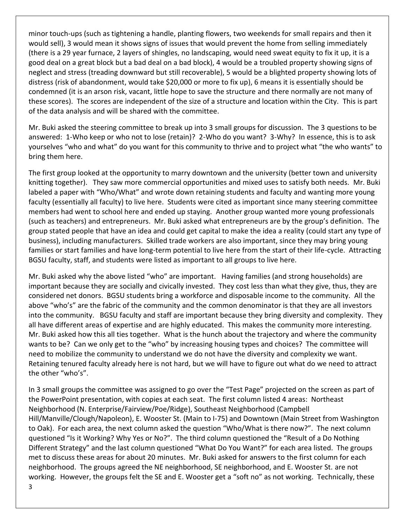minor touch-ups (such as tightening a handle, planting flowers, two weekends for small repairs and then it would sell), 3 would mean it shows signs of issues that would prevent the home from selling immediately (there is a 29 year furnace, 2 layers of shingles, no landscaping, would need sweat equity to fix it up, it is a good deal on a great block but a bad deal on a bad block), 4 would be a troubled property showing signs of neglect and stress (treading downward but still recoverable), 5 would be a blighted property showing lots of distress (risk of abandonment, would take \$20,000 or more to fix up), 6 means it is essentially should be condemned (it is an arson risk, vacant, little hope to save the structure and there normally are not many of these scores). The scores are independent of the size of a structure and location within the City. This is part of the data analysis and will be shared with the committee.

Mr. Buki asked the steering committee to break up into 3 small groups for discussion. The 3 questions to be answered: 1-Who keep or who not to lose (retain)? 2-Who do you want? 3-Why? In essence, this is to ask yourselves "who and what" do you want for this community to thrive and to project what "the who wants" to bring them here.

The first group looked at the opportunity to marry downtown and the university (better town and university knitting together). They saw more commercial opportunities and mixed uses to satisfy both needs. Mr. Buki labeled a paper with "Who/What" and wrote down retaining students and faculty and wanting more young faculty (essentially all faculty) to live here. Students were cited as important since many steering committee members had went to school here and ended up staying. Another group wanted more young professionals (such as teachers) and entrepreneurs. Mr. Buki asked what entrepreneurs are by the group's definition. The group stated people that have an idea and could get capital to make the idea a reality (could start any type of business), including manufacturers. Skilled trade workers are also important, since they may bring young families or start families and have long-term potential to live here from the start of their life-cycle. Attracting BGSU faculty, staff, and students were listed as important to all groups to live here.

Mr. Buki asked why the above listed "who" are important. Having families (and strong households) are important because they are socially and civically invested. They cost less than what they give, thus, they are considered net donors. BGSU students bring a workforce and disposable income to the community. All the above "who's" are the fabric of the community and the common denominator is that they are all investors into the community. BGSU faculty and staff are important because they bring diversity and complexity. They all have different areas of expertise and are highly educated. This makes the community more interesting. Mr. Buki asked how this all ties together. What is the hunch about the trajectory and where the community wants to be? Can we only get to the "who" by increasing housing types and choices? The committee will need to mobilize the community to understand we do not have the diversity and complexity we want. Retaining tenured faculty already here is not hard, but we will have to figure out what do we need to attract the other "who's".

In 3 small groups the committee was assigned to go over the "Test Page" projected on the screen as part of the PowerPoint presentation, with copies at each seat. The first column listed 4 areas: Northeast Neighborhood (N. Enterprise/Fairview/Poe/Ridge), Southeast Neighborhood (Campbell Hill/Manville/Clough/Napoleon), E. Wooster St. (Main to I-75) and Downtown (Main Street from Washington to Oak). For each area, the next column asked the question "Who/What is there now?". The next column questioned "Is it Working? Why Yes or No?". The third column questioned the "Result of a Do Nothing Different Strategy" and the last column questioned "What Do You Want?" for each area listed. The groups met to discuss these areas for about 20 minutes. Mr. Buki asked for answers to the first column for each neighborhood. The groups agreed the NE neighborhood, SE neighborhood, and E. Wooster St. are not working. However, the groups felt the SE and E. Wooster get a "soft no" as not working. Technically, these